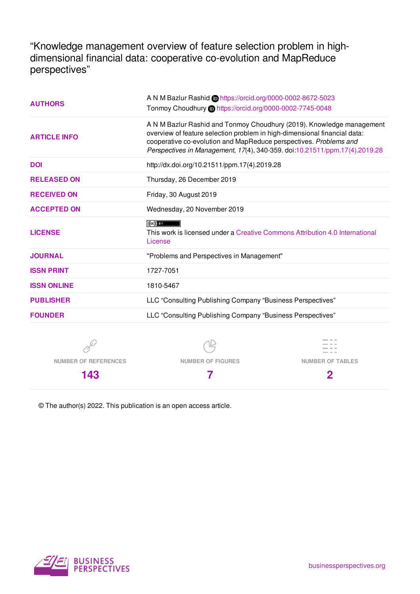"Knowledge management overview of feature selection problem in highdimensional financial data: cooperative co-evolution and MapReduce perspectives"

| <b>AUTHORS</b>      | A N M Bazlur Rashid Chttps://orcid.org/0000-0002-8672-5023<br>Tonmoy Choudhury in https://orcid.org/0000-0002-7745-0048                                                                                                                                                                               |  |  |
|---------------------|-------------------------------------------------------------------------------------------------------------------------------------------------------------------------------------------------------------------------------------------------------------------------------------------------------|--|--|
| <b>ARTICLE INFO</b> | A N M Bazlur Rashid and Tonmoy Choudhury (2019). Knowledge management<br>overview of feature selection problem in high-dimensional financial data:<br>cooperative co-evolution and MapReduce perspectives. Problems and<br>Perspectives in Management, 17(4), 340-359. doi:10.21511/ppm.17(4).2019.28 |  |  |
| <b>DOI</b>          | http://dx.doi.org/10.21511/ppm.17(4).2019.28                                                                                                                                                                                                                                                          |  |  |
| <b>RELEASED ON</b>  | Thursday, 26 December 2019                                                                                                                                                                                                                                                                            |  |  |
| <b>RECEIVED ON</b>  | Friday, 30 August 2019                                                                                                                                                                                                                                                                                |  |  |
| <b>ACCEPTED ON</b>  | Wednesday, 20 November 2019                                                                                                                                                                                                                                                                           |  |  |
| <b>LICENSE</b>      | $(cc)$ av<br>This work is licensed under a Creative Commons Attribution 4.0 International<br>License                                                                                                                                                                                                  |  |  |
| <b>JOURNAL</b>      | "Problems and Perspectives in Management"                                                                                                                                                                                                                                                             |  |  |
| <b>ISSN PRINT</b>   | 1727-7051                                                                                                                                                                                                                                                                                             |  |  |
| <b>ISSN ONLINE</b>  | 1810-5467                                                                                                                                                                                                                                                                                             |  |  |
| <b>PUBLISHER</b>    | LLC "Consulting Publishing Company "Business Perspectives"                                                                                                                                                                                                                                            |  |  |
| <b>FOUNDER</b>      | LLC "Consulting Publishing Company "Business Perspectives"                                                                                                                                                                                                                                            |  |  |
|                     |                                                                                                                                                                                                                                                                                                       |  |  |



 $\mathbb{Z}$ 



**NUMBER OF REFERENCES**

**143**

**NUMBER OF FIGURES**

**7**

**2**

© The author(s) 2022. This publication is an open access article.

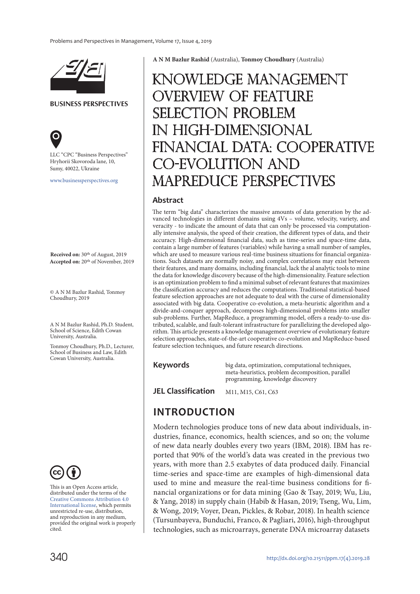

**BUSINESS PERSPECTIVES**



LLC "СPС "Business Perspectives" Hryhorii Skovoroda lane, 10, Sumy, 40022, Ukraine

www.businessperspectives.org

**Received on:** 30th of August, 2019 **Accepted on:** 20th of November, 2019

© A N M Bazlur Rashid, Tonmoy Choudhury, 2019

A N M Bazlur Rashid, Ph.D. Student, School of Science, Edith Cowan University, Australia.

Tonmoy Choudhury, Ph.D., Lecturer, School of Business and Law, Edith Cowan University, Australia.



This is an Open Access article, distributed under the terms of the Creative Commons Attribution 4.0 International license, which permits unrestricted re-use, distribution, and reproduction in any medium, provided the original work is properly cited.

**A N M Bazlur Rashid** (Australia), **Tonmoy Choudhury** (Australia)

# Knowledge management overview of feature  $CTION$  problem in high-dimensional financial data: cooperative co-evolution and MapReduce perspectives

#### **Abstract**

The term "big data" characterizes the massive amounts of data generation by the advanced technologies in different domains using 4Vs – volume, velocity, variety, and veracity - to indicate the amount of data that can only be processed via computationally intensive analysis, the speed of their creation, the different types of data, and their accuracy. High-dimensional financial data, such as time-series and space-time data, contain a large number of features (variables) while having a small number of samples, which are used to measure various real-time business situations for financial organizations. Such datasets are normally noisy, and complex correlations may exist between their features, and many domains, including financial, lack the al analytic tools to mine the data for knowledge discovery because of the high-dimensionality. Feature selection is an optimization problem to find a minimal subset of relevant features that maximizes the classification accuracy and reduces the computations. Traditional statistical-based feature selection approaches are not adequate to deal with the curse of dimensionality associated with big data. Cooperative co-evolution, a meta-heuristic algorithm and a divide-and-conquer approach, decomposes high-dimensional problems into smaller sub-problems. Further, MapReduce, a programming model, offers a ready-to-use distributed, scalable, and fault-tolerant infrastructure for parallelizing the developed algorithm. This article presents a knowledge management overview of evolutionary feature selection approaches, state-of-the-art cooperative co-evolution and MapReduce-based feature selection techniques, and future research directions.

#### **Keywords**

big data, optimization, computational techniques, meta-heuristics, problem decomposition, parallel programming, knowledge discovery

**JEL Classification** M11, M15, C61, C63

### **INTRODUCTION**

Modern technologies produce tons of new data about individuals, industries, finance, economics, health sciences, and so on; the volume of new data nearly doubles every two years (IBM, 2018). IBM has reported that 90% of the world's data was created in the previous two years, with more than 2.5 exabytes of data produced daily. Financial time-series and space-time are examples of high-dimensional data used to mine and measure the real-time business conditions for financial organizations or for data mining (Gao & Tsay, 2019; Wu, Liu, & Yang, 2018) in supply chain (Habib & Hasan, 2019; Tseng, Wu, Lim, & Wong, 2019; Voyer, Dean, Pickles, & Robar, 2018). In health science (Tursunbayeva, Bunduchi, Franco, & Pagliari, 2016), high-throughput technologies, such as microarrays, generate DNA microarray datasets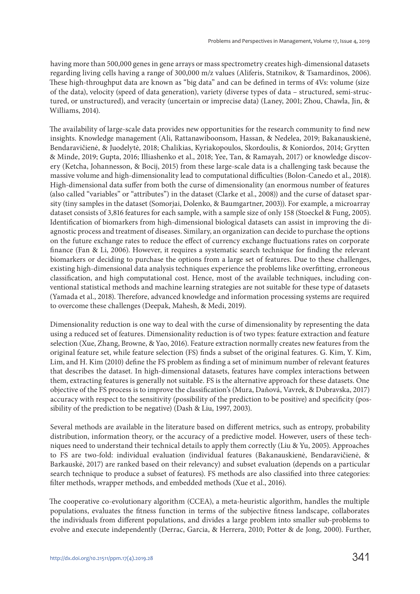having more than 500,000 genes in gene arrays or mass spectrometry creates high-dimensional datasets regarding living cells having a range of 300,000 m/z values (Aliferis, Statnikov, & Tsamardinos, 2006). These high-throughput data are known as "big data" and can be defined in terms of 4Vs: volume (size of the data), velocity (speed of data generation), variety (diverse types of data – structured, semi-structured, or unstructured), and veracity (uncertain or imprecise data) (Laney, 2001; Zhou, Chawla, Jin, & Williams, 2014).

The availability of large-scale data provides new opportunities for the research community to find new insights. Knowledge management (Ali, Rattanawiboonsom, Hassan, & Nedelea, 2019; Bakanauskienė, Bendaravičienė, & Juodelytė, 2018; Chalikias, Kyriakopoulos, Skordoulis, & Koniordos, 2014; Grytten & Minde, 2019; Gupta, 2016; Illiashenko et al., 2018; Yee, Tan, & Ramayah, 2017) or knowledge discovery (Ketcha, Johannesson, & Bocij, 2015) from these large-scale data is a challenging task because the massive volume and high-dimensionality lead to computational difficulties (Bolon-Canedo et al., 2018). High-dimensional data suffer from both the curse of dimensionality (an enormous number of features (also called "variables" or "attributes") in the dataset (Clarke et al., 2008)) and the curse of dataset sparsity (tiny samples in the dataset (Somorjai, Dolenko, & Baumgartner, 2003)). For example, a microarray dataset consists of 3,816 features for each sample, with a sample size of only 158 (Stoeckel & Fung, 2005). Identification of biomarkers from high-dimensional biological datasets can assist in improving the diagnostic process and treatment of diseases. Similary, an organization can decide to purchase the options on the future exchange rates to reduce the effect of currency exchange fluctuations rates on corporate finance (Fan & Li, 2006). However, it requires a systematic search technique for finding the relevant biomarkers or deciding to purchase the options from a large set of features. Due to these challenges, existing high-dimensional data analysis techniques experience the problems like overfitting, erroneous classification, and high computational cost. Hence, most of the available techniques, including conventional statistical methods and machine learning strategies are not suitable for these type of datasets (Yamada et al., 2018). Therefore, advanced knowledge and information processing systems are required to overcome these challenges (Deepak, Mahesh, & Medi, 2019).

Dimensionality reduction is one way to deal with the curse of dimensionality by representing the data using a reduced set of features. Dimensionality reduction is of two types: feature extraction and feature selection (Xue, Zhang, Browne, & Yao, 2016). Feature extraction normally creates new features from the original feature set, while feature selection (FS) finds a subset of the original features. G. Kim, Y. Kim, Lim, and H. Kim (2010) define the FS problem as finding a set of minimum number of relevant features that describes the dataset. In high-dimensional datasets, features have complex interactions between them, extracting features is generally not suitable. FS is the alternative approach for these datasets. One objective of the FS process is to improve the classification's (Mura, Daňová, Vavrek, & Dubravska, 2017) accuracy with respect to the sensitivity (possibility of the prediction to be positive) and specificity (possibility of the prediction to be negative) (Dash & Liu, 1997, 2003).

Several methods are available in the literature based on different metrics, such as entropy, probability distribution, information theory, or the accuracy of a predictive model. However, users of these techniques need to understand their technical details to apply them correctly (Liu & Yu, 2005). Approaches to FS are two-fold: individual evaluation (individual features (Bakanauskienė, Bendaravičienė, & Barkauskė, 2017) are ranked based on their relevancy) and subset evaluation (depends on a particular search technique to produce a subset of features). FS methods are also classified into three categories: filter methods, wrapper methods, and embedded methods (Xue et al., 2016).

The cooperative co-evolutionary algorithm (CCEA), a meta-heuristic algorithm, handles the multiple populations, evaluates the fitness function in terms of the subjective fitness landscape, collaborates the individuals from different populations, and divides a large problem into smaller sub-problems to evolve and execute independently (Derrac, Garcia, & Herrera, 2010; Potter & de Jong, 2000). Further,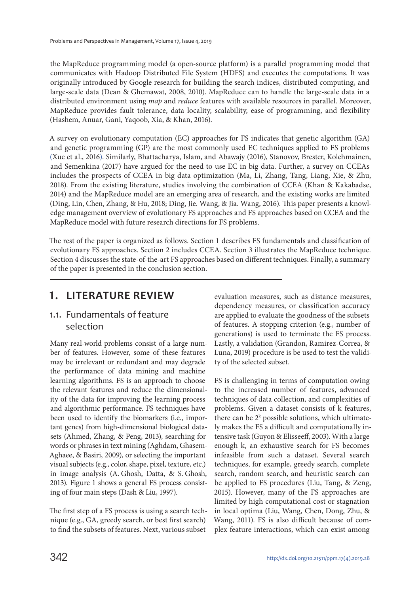the MapReduce programming model (a open-source platform) is a parallel programming model that communicates with Hadoop Distributed File System (HDFS) and executes the computations. It was originally introduced by Google research for building the search indices, distributed computing, and large-scale data (Dean & Ghemawat, 2008, 2010). MapReduce can to handle the large-scale data in a distributed environment using map and reduce features with available resources in parallel. Moreover, MapReduce provides fault tolerance, data locality, scalability, ease of programming, and flexibility (Hashem, Anuar, Gani, Yaqoob, Xia, & Khan, 2016).

A survey on evolutionary computation (EC) approaches for FS indicates that genetic algorithm (GA) and genetic programming (GP) are the most commonly used EC techniques applied to FS problems (Xue et al., 2016). Similarly, Bhattacharya, Islam, and Abawajy (2016), Stanovov, Brester, Kolehmainen, and Semenkina (2017) have argued for the need to use EC in big data. Further, a survey on CCEAs includes the prospects of CCEA in big data optimization (Ma, Li, Zhang, Tang, Liang, Xie, & Zhu, 2018). From the existing literature, studies involving the combination of CCEA (Khan & Kakabadse, 2014) and the MapReduce model are an emerging area of research, and the existing works are limited (Ding, Lin, Chen, Zhang, & Hu, 2018; Ding, Jie. Wang, & Jia. Wang, 2016). This paper presents a knowledge management overview of evolutionary FS approaches and FS approaches based on CCEA and the MapReduce model with future research directions for FS problems.

The rest of the paper is organized as follows. Section 1 describes FS fundamentals and classification of evolutionary FS approaches. Section 2 includes CCEA. Section 3 illustrates the MapReduce technique. Section 4 discusses the state-of-the-art FS approaches based on different techniques. Finally, a summary of the paper is presented in the conclusion section.

### **1. LITERATURE REVIEW**

#### 1.1. Fundamentals of feature selection

Many real-world problems consist of a large number of features. However, some of these features may be irrelevant or redundant and may degrade the performance of data mining and machine learning algorithms. FS is an approach to choose the relevant features and reduce the dimensionality of the data for improving the learning process and algorithmic performance. FS techniques have been used to identify the biomarkers (i.e., important genes) from high-dimensional biological datasets (Ahmed, Zhang, & Peng, 2013), searching for words or phrases in text mining (Aghdam, Ghasem-Aghaee, & Basiri, 2009), or selecting the important visual subjects (e.g., color, shape, pixel, texture, etc.) in image analysis (A. Ghosh, Datta, & S. Ghosh, 2013). Figure 1 shows a general FS process consisting of four main steps (Dash & Liu, 1997).

The first step of a FS process is using a search technique (e.g., GA, greedy search, or best first search) to find the subsets of features. Next, various subset

evaluation measures, such as distance measures, dependency measures, or classification accuracy are applied to evaluate the goodness of the subsets of features. A stopping criterion (e.g., number of generations) is used to terminate the FS process. Lastly, a validation (Grandon, Ramirez-Correa, & Luna, 2019) procedure is be used to test the validity of the selected subset.

FS is challenging in terms of computation owing to the increased number of features, advanced techniques of data collection, and complexities of problems. Given a dataset consists of k features, there can be  $2^k$  possible solutions, which ultimately makes the FS a difficult and computationally intensive task (Guyon & Elisseeff, 2003). With a large enough k, an exhaustive search for FS becomes infeasible from such a dataset. Several search techniques, for example, greedy search, complete search, random search, and heuristic search can be applied to FS procedures (Liu, Tang, & Zeng, 2015). However, many of the FS approaches are limited by high computational cost or stagnation in local optima (Liu, Wang, Chen, Dong, Zhu, & Wang, 2011). FS is also difficult because of complex feature interactions, which can exist among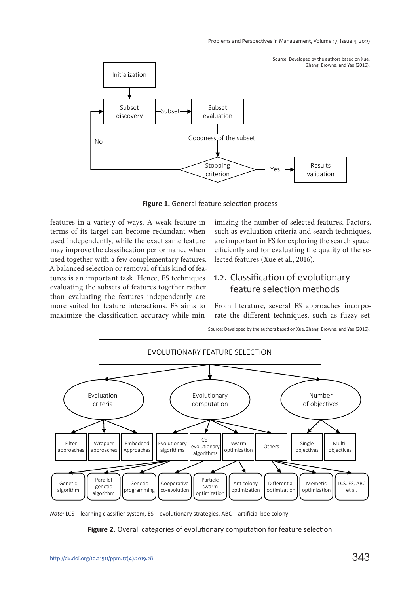

**Figure 1.** General feature selection process

features in a variety of ways. A weak feature in terms of its target can become redundant when used independently, while the exact same feature may improve the classification performance when used together with a few complementary features. A balanced selection or removal of this kind of features is an important task. Hence, FS techniques evaluating the subsets of features together rather than evaluating the features independently are more suited for feature interactions. FS aims to maximize the classification accuracy while minimizing the number of selected features. Factors, such as evaluation criteria and search techniques, are important in FS for exploring the search space efficiently and for evaluating the quality of the selected features (Xue et al., 2016).

#### 1.2. Classification of evolutionary feature selection methods

From literature, several FS approaches incorporate the different techniques, such as fuzzy set





*Note:* LCS – learning classifier system, ES – evolutionary strategies, ABC – artificial bee colony

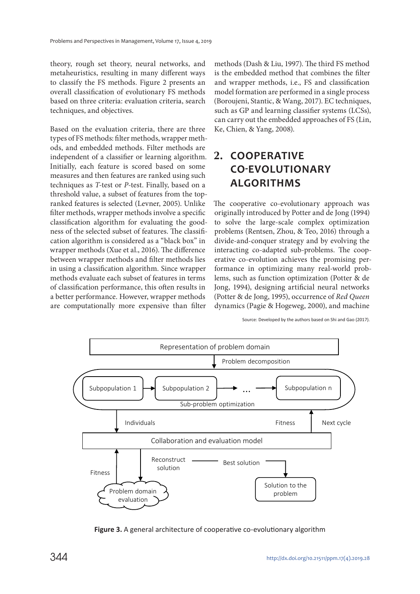theory, rough set theory, neural networks, and metaheuristics, resulting in many different ways to classify the FS methods. Figure 2 presents an overall classification of evolutionary FS methods based on three criteria: evaluation criteria, search techniques, and objectives.

Based on the evaluation criteria, there are three types of FS methods: filter methods, wrapper methods, and embedded methods. Filter methods are independent of a classifier or learning algorithm. Initially, each feature is scored based on some measures and then features are ranked using such techniques as T-test or P-test. Finally, based on a threshold value, a subset of features from the topranked features is selected (Levner, 2005). Unlike filter methods, wrapper methods involve a specific classification algorithm for evaluating the goodness of the selected subset of features. The classification algorithm is considered as a "black box" in wrapper methods (Xue et al., 2016). The difference between wrapper methods and filter methods lies in using a classification algorithm. Since wrapper methods evaluate each subset of features in terms of classification performance, this often results in a better performance. However, wrapper methods are computationally more expensive than filter

methods (Dash & Liu, 1997). The third FS method is the embedded method that combines the filter and wrapper methods, i.e., FS and classification model formation are performed in a single process (Boroujeni, Stantic, & Wang, 2017). EC techniques, such as GP and learning classifier systems (LCSs), can carry out the embedded approaches of FS (Lin, Ke, Chien, & Yang, 2008).

# **2. COOPERATIVE CO-EVOLUTIONARY ALGORITHMS**

The cooperative co-evolutionary approach was originally introduced by Potter and de Jong (1994) to solve the large-scale complex optimization problems (Rentsen, Zhou, & Teo, 2016) through a divide-and-conquer strategy and by evolving the interacting co-adapted sub-problems. The cooperative co-evolution achieves the promising performance in optimizing many real-world problems, such as function optimization (Potter & de Jong, 1994), designing artificial neural networks (Potter & de Jong, 1995), occurrence of Red Queen dynamics (Pagie & Hogeweg, 2000), and machine

Source: Developed by the authors based on Shi and Gao (2017).



**Figure 3.** A general architecture of cooperative co-evolutionary algorithm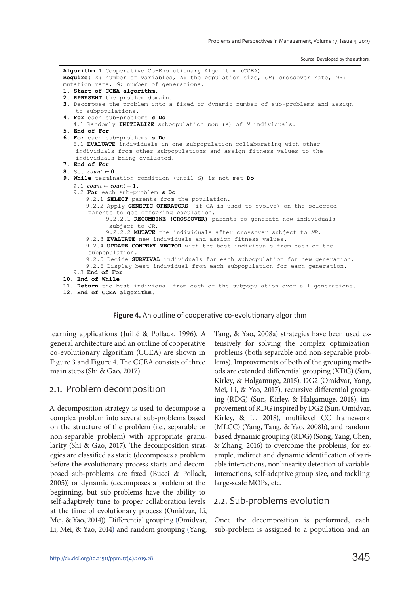Source: Developed by the authors.



**Figure 4.** An outline of cooperative co-evolutionary algorithm

learning applications (Juillé & Pollack, 1996). A general architecture and an outline of cooperative co-evolutionary algorithm (CCEA) are shown in Figure 3 and Figure 4. The CCEA consists of three main steps (Shi & Gao, 2017).

#### 2.1. Problem decomposition

A decomposition strategy is used to decompose a complex problem into several sub-problems based on the structure of the problem (i.e., separable or non-separable problem) with appropriate granularity (Shi & Gao, 2017). The decomposition strategies are classified as static (decomposes a problem before the evolutionary process starts and decomposed sub-problems are fixed (Bucci & Pollack, 2005)) or dynamic (decomposes a problem at the beginning, but sub-problems have the ability to self-adaptively tune to proper collaboration levels at the time of evolutionary process (Omidvar, Li, Mei, & Yao, 2014)). Differential grouping (Omidvar, Li, Mei, & Yao, 2014) and random grouping (Yang, Tang, & Yao, 2008a) strategies have been used extensively for solving the complex optimization problems (both separable and non-separable problems). Improvements of both of the grouping methods are extended differential grouping (XDG) (Sun, Kirley, & Halgamuge, 2015), DG2 (Omidvar, Yang, Mei, Li, & Yao, 2017), recursive differential grouping (RDG) (Sun, Kirley, & Halgamuge, 2018), improvement of RDG inspired by DG2 (Sun, Omidvar, Kirley, & Li, 2018), multilevel CC framework (MLCC) (Yang, Tang, & Yao, 2008b), and random based dynamic grouping (RDG) (Song, Yang, Chen, & Zhang, 2016) to overcome the problems, for example, indirect and dynamic identification of variable interactions, nonlinearity detection of variable interactions, self-adaptive group size, and tackling large-scale MOPs, etc.

#### 2.2. Sub-problems evolution

Once the decomposition is performed, each sub-problem is assigned to a population and an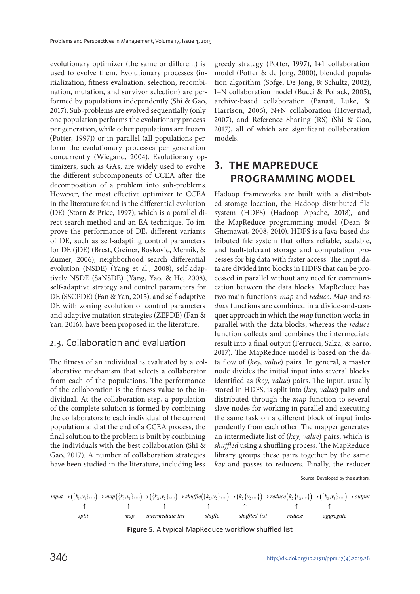evolutionary optimizer (the same or different) is used to evolve them. Evolutionary processes (initialization, fitness evaluation, selection, recombination, mutation, and survivor selection) are performed by populations independently (Shi & Gao, 2017). Sub-problems are evolved sequentially (only one population performs the evolutionary process per generation, while other populations are frozen (Potter, 1997)) or in parallel (all populations perform the evolutionary processes per generation concurrently (Wiegand, 2004). Evolutionary optimizers, such as GAs, are widely used to evolve the different subcomponents of CCEA after the decomposition of a problem into sub-problems. However, the most effective optimizer to CCEA in the literature found is the differential evolution (DE) (Storn & Price, 1997), which is a parallel direct search method and an EA technique. To improve the performance of DE, different variants of DE, such as self-adapting control parameters for DE (jDE) (Brest, Greiner, Boskovic, Mernik, & Zumer, 2006), neighborhood search differential evolution (NSDE) (Yang et al., 2008), self-adaptively NSDE (SaNSDE) (Yang, Yao, & He, 2008), self-adaptive strategy and control parameters for DE (SSCPDE) (Fan & Yan, 2015), and self-adaptive DE with zoning evolution of control parameters and adaptive mutation strategies (ZEPDE) (Fan & Yan, 2016), have been proposed in the literature.

#### 2.3. Collaboration and evaluation

The fitness of an individual is evaluated by a collaborative mechanism that selects a collaborator from each of the populations. The performance of the collaboration is the fitness value to the individual. At the collaboration step, a population of the complete solution is formed by combining the collaborators to each individual of the current population and at the end of a CCEA process, the final solution to the problem is built by combining the individuals with the best collaboration (Shi & Gao, 2017). A number of collaboration strategies have been studied in the literature, including less

greedy strategy (Potter, 1997), 1+1 collaboration model (Potter & de Jong, 2000), blended population algorithm (Sofge, De Jong, & Schultz, 2002), 1+N collaboration model (Bucci & Pollack, 2005), archive-based collaboration (Panait, Luke, & Harrison, 2006), N+N collaboration (Hoverstad, 2007), and Reference Sharing (RS) (Shi & Gao, 2017), all of which are significant collaboration models.

### **3. THE MAPREDUCE PROGRAMMING MODEL**

Hadoop frameworks are built with a distributed storage location, the Hadoop distributed file system (HDFS) (Hadoop Apache, 2018), and the MapReduce programming model (Dean & Ghemawat, 2008, 2010). HDFS is a Java-based distributed file system that offers reliable, scalable, and fault-tolerant storage and computation processes for big data with faster access. The input data are divided into blocks in HDFS that can be processed in parallel without any need for communication between the data blocks. MapReduce has two main functions: map and reduce. Map and reduce functions are combined in a divide-and-conquer approach in which the map function works in parallel with the data blocks, whereas the reduce function collects and combines the intermediate result into a final output (Ferrucci, Salza, & Sarro, 2017). The MapReduce model is based on the data flow of (key, value) pairs. In general, a master node divides the initial input into several blocks identified as (key, value) pairs. The input, usually stored in HDFS, is split into (key, value) pairs and distributed through the map function to several slave nodes for working in parallel and executing the same task on a different block of input independently from each other. The mapper generates an intermediate list of (key, value) pairs, which is shuffled using a shuffling process. The MapReduce library groups these pairs together by the same key and passes to reducers. Finally, the reducer

Source: Developed by the authors.

( ) { } 11 11 2 2 2 2 2 2 2 2 3 3 , ,... , ,... , ,... , ,... ,... ,... , ,... ( ) { } ( ) { } ( ) { } ( ) { } ( ) { } ( ) { } *input k v map k v k v shuffle k v k v reduce k v k v output split map intermediate list shiffle shuffled list reduce aggregate* →→ → → →→ → → ↑ ↑ ↑ ↑ ↑ ↑↑

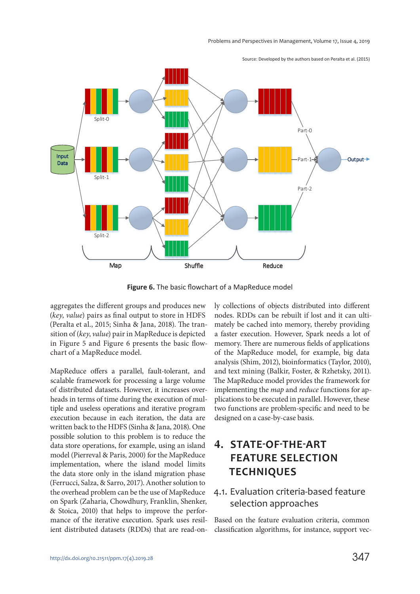

Source: Developed by the authors based on Peralta et al. (2015)

**Figure 6.** The basic flowchart of a MapReduce model

aggregates the different groups and produces new (key, value) pairs as final output to store in HDFS (Peralta et al., 2015; Sinha & Jana, 2018). The transition of (key, value) pair in MapReduce is depicted in Figure 5 and Figure 6 presents the basic flowchart of a MapReduce model.

MapReduce offers a parallel, fault-tolerant, and scalable framework for processing a large volume of distributed datasets. However, it increases overheads in terms of time during the execution of multiple and useless operations and iterative program execution because in each iteration, the data are written back to the HDFS (Sinha & Jana, 2018). One possible solution to this problem is to reduce the data store operations, for example, using an island model (Pierreval & Paris, 2000) for the MapReduce implementation, where the island model limits the data store only in the island migration phase (Ferrucci, Salza, & Sarro, 2017). Another solution to the overhead problem can be the use of MapReduce on Spark (Zaharia, Chowdhury, Franklin, Shenker, & Stoica, 2010) that helps to improve the performance of the iterative execution. Spark uses resilient distributed datasets (RDDs) that are read-on-

ly collections of objects distributed into different nodes. RDDs can be rebuilt if lost and it can ultimately be cached into memory, thereby providing a faster execution. However, Spark needs a lot of memory. There are numerous fields of applications of the MapReduce model, for example, big data analysis (Shim, 2012), bioinformatics (Taylor, 2010), and text mining (Balkir, Foster, & Rzhetsky, 2011). The MapReduce model provides the framework for implementing the map and reduce functions for applications to be executed in parallel. However, these two functions are problem-specific and need to be designed on a case-by-case basis.

# **4. STATE-OF-THE-ART FEATURE SELECTION TECHNIQUES**

#### 4.1. Evaluation criteria-based feature selection approaches

Based on the feature evaluation criteria, common classification algorithms, for instance, support vec-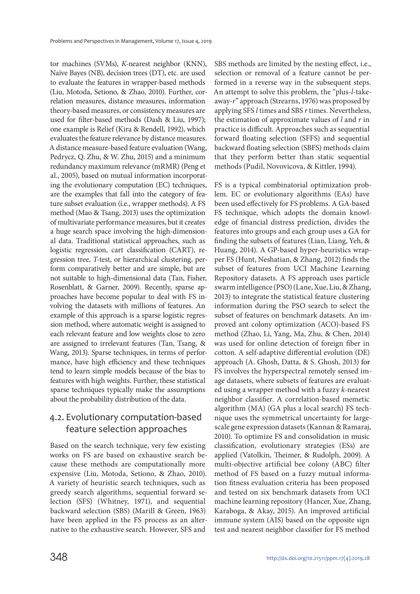tor machines (SVMs), K-nearest neighbor (KNN), Naïve Bayes (NB), decision trees (DT), etc. are used to evaluate the features in wrapper-based methods (Liu, Motoda, Setiono, & Zhao, 2010). Further, correlation measures, distance measures, information theory-based measures, or consistency measures are used for filter-based methods (Dash & Liu, 1997); one example is Relief (Kira & Rendell, 1992), which evaluates the feature relevance by distance measures. A distance measure-based feature evaluation (Wang, Pedrycz, Q. Zhu, & W. Zhu, 2015) and a minimum redundancy maximum relevance (mRMR) (Peng et al., 2005), based on mutual information incorporating the evolutionary computation (EC) techniques, are the examples that fall into the category of feature subset evaluation (i.e., wrapper methods). A FS method (Mao & Tsang, 2013) uses the optimization of multivariate performance measures, but it creates a huge search space involving the high-dimensional data. Traditional statistical approaches, such as logistic regression, cart classification (CART), regression tree, T-test, or hierarchical clustering, perform comparatively better and are simple, but are not suitable to high-dimensional data (Tan, Fisher, Rosenblatt, & Garner, 2009). Recently, sparse approaches have become popular to deal with FS involving the datasets with millions of features. An example of this approach is a sparse logistic regression method, where automatic weight is assigned to each relevant feature and low weights close to zero are assigned to irrelevant features (Tan, Tsang, & Wang, 2013). Sparse techniques, in terms of performance, have high efficiency and these techniques tend to learn simple models because of the bias to features with high weights. Further, these statistical sparse techniques typically make the assumptions about the probability distribution of the data.

### 4.2. Evolutionary computation-based feature selection approaches

Based on the search technique, very few existing works on FS are based on exhaustive search because these methods are computationally more expensive (Liu, Motoda, Setiono, & Zhao, 2010). A variety of heuristic search techniques, such as greedy search algorithms, sequential forward selection (SFS) (Whitney, 1971), and sequential backward selection (SBS) (Marill & Green, 1963) have been applied in the FS process as an alternative to the exhaustive search. However, SFS and

SBS methods are limited by the nesting effect, i.e., selection or removal of a feature cannot be performed in a reverse way in the subsequent steps. An attempt to solve this problem, the "plus-l-takeaway-r" approach (Strearns, 1976) was proposed by applying SFS l times and SBS r times. Nevertheless, the estimation of approximate values of  $l$  and  $r$  in practice is difficult. Approaches such as sequential forward floating selection (SFFS) and sequential backward floating selection (SBFS) methods claim that they perform better than static sequential methods (Pudil, Novovicova, & Kittler, 1994).

FS is a typical combinatorial optimization problem. EC or evolutionary algorithms (EAs) have been used effectively for FS problems. A GA-based FS technique, which adopts the domain knowledge of financial distress prediction, divides the features into groups and each group uses a GA for finding the subsets of features (Lian, Liang, Yeh, & Huang, 2014). A GP-based hyper-heuristics wrapper FS (Hunt, Neshatian, & Zhang, 2012) finds the subset of features from UCI Machine Learning Repository datasets. A FS approach uses particle swarm intelligence (PSO) (Lane, Xue, Liu, & Zhang, 2013) to integrate the statistical feature clustering information during the PSO search to select the subset of features on benchmark datasets. An improved ant colony optimization (ACO)-based FS method (Zhao, Li, Yang, Ma, Zhu, & Chen, 2014) was used for online detection of foreign fiber in cotton. A self-adaptive differential evolution (DE) approach (A. Ghosh, Datta, & S. Ghosh, 2013) for FS involves the hyperspectral remotely sensed image datasets, where subsets of features are evaluated using a wrapper method with a fuzzy k-nearest neighbor classifier. A correlation-based memetic algorithm (MA) (GA plus a local search) FS technique uses the symmetrical uncertainty for largescale gene expression datasets (Kannan & Ramaraj, 2010). To optimize FS and consolidation in music classification, evolutionary strategies (ESs) are applied (Vatolkin, Theimer, & Rudolph, 2009). A multi-objective artificial bee colony (ABC) filter method of FS based on a fuzzy mutual information fitness evaluation criteria has been proposed and tested on six benchmark datasets from UCI machine learning repository (Hancer, Xue, Zhang, Karaboga, & Akay, 2015). An improved artificial immune system (AIS) based on the opposite sign test and nearest neighbor classifier for FS method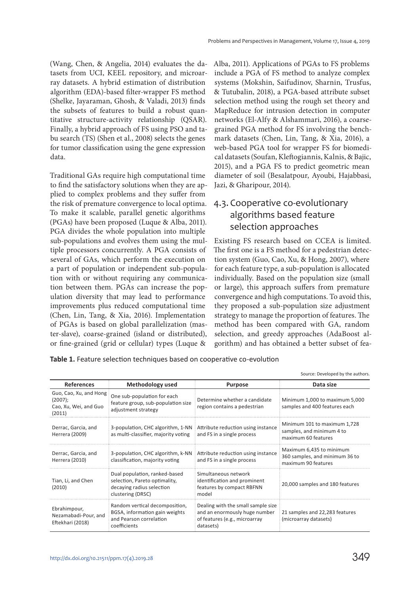(Wang, Chen, & Angelia, 2014) evaluates the datasets from UCI, KEEL repository, and microarray datasets. A hybrid estimation of distribution algorithm (EDA)-based filter-wrapper FS method (Shelke, Jayaraman, Ghosh, & Valadi, 2013) finds the subsets of features to build a robust quantitative structure-activity relationship (QSAR). Finally, a hybrid approach of FS using PSO and tabu search (TS) (Shen et al., 2008) selects the genes for tumor classification using the gene expression data.

Traditional GAs require high computational time to find the satisfactory solutions when they are applied to complex problems and they suffer from the risk of premature convergence to local optima. To make it scalable, parallel genetic algorithms (PGAs) have been proposed (Luque & Alba, 2011). PGA divides the whole population into multiple sub-populations and evolves them using the multiple processors concurrently. A PGA consists of several of GAs, which perform the execution on a part of population or independent sub-population with or without requiring any communication between them. PGAs can increase the population diversity that may lead to performance improvements plus reduced computational time (Chen, Lin, Tang, & Xia, 2016). Implementation of PGAs is based on global parallelization (master-slave), coarse-grained (island or distributed), or fine-grained (grid or cellular) types (Luque &

Alba, 2011). Applications of PGAs to FS problems include a PGA of FS method to analyze complex systems (Mokshin, Saifudinov, Sharnin, Trusfus, & Tutubalin, 2018), a PGA-based attribute subset selection method using the rough set theory and MapReduce for intrusion detection in computer networks (El-Alfy & Alshammari, 2016), a coarsegrained PGA method for FS involving the benchmark datasets (Chen, Lin, Tang, & Xia, 2016), a web-based PGA tool for wrapper FS for biomedical datasets (Soufan, Kleftogiannis, Kalnis, & Bajic, 2015), and a PGA FS to predict geometric mean diameter of soil (Besalatpour, Ayoubi, Hajabbasi, Jazi, & Gharipour, 2014).

### 4.3. Cooperative co-evolutionary algorithms based feature selection approaches

Existing FS research based on CCEA is limited. The first one is a FS method for a pedestrian detection system (Guo, Cao, Xu, & Hong, 2007), where for each feature type, a sub-population is allocated individually. Based on the population size (small or large), this approach suffers from premature convergence and high computations. To avoid this, they proposed a sub-population size adjustment strategy to manage the proportion of features. The method has been compared with GA, random selection, and greedy approaches (AdaBoost algorithm) and has obtained a better subset of fea-

Source: Developed by the authors.

| <b>References</b>                                                    | Methodology used                                                                                                 | <b>Purpose</b>                                                                                                    | Data size                                                                         |
|----------------------------------------------------------------------|------------------------------------------------------------------------------------------------------------------|-------------------------------------------------------------------------------------------------------------------|-----------------------------------------------------------------------------------|
| Guo, Cao, Xu, and Hong<br>(2007);<br>Cao, Xu, Wei, and Guo<br>(2011) | One sub-population for each<br>feature group, sub-population size<br>adjustment strategy                         | Determine whether a candidate<br>region contains a pedestrian                                                     | Minimum 1,000 to maximum 5,000<br>samples and 400 features each                   |
| Derrac, Garcia, and<br>Herrera (2009)                                | 3-population, CHC algorithm, 1-NN Attribute reduction using instance<br>as multi-classifier, majority voting     | and FS in a single process                                                                                        | Minimum 101 to maximum 1,728<br>samples, and minimum 4 to<br>maximum 60 features  |
| Derrac, Garcia, and<br>Herrera (2010)                                | 3-population, CHC algorithm, k-NN<br>classification, majority voting                                             | Attribute reduction using instance<br>and FS in a single process                                                  | Maximum 6,435 to minimum<br>360 samples, and minimum 36 to<br>maximum 90 features |
| Tian, Li, and Chen<br>(2010)                                         | Dual population, ranked-based<br>selection, Pareto optimality,<br>decaying radius selection<br>clustering (DRSC) | Simultaneous network<br>identification and prominent<br>features by compact RBFNN<br>model                        | 20,000 samples and 180 features                                                   |
| Ebrahimpour,<br>Nezamabadi-Pour, and<br>Eftekhari (2018)             | Random vertical decomposition,<br>BGSA, information gain weights<br>and Pearson correlation<br>coefficients      | Dealing with the small sample size<br>and an enormously huge number<br>of features (e.g., microarray<br>datasets) | 21 samples and 22,283 features<br>(microarray datasets)                           |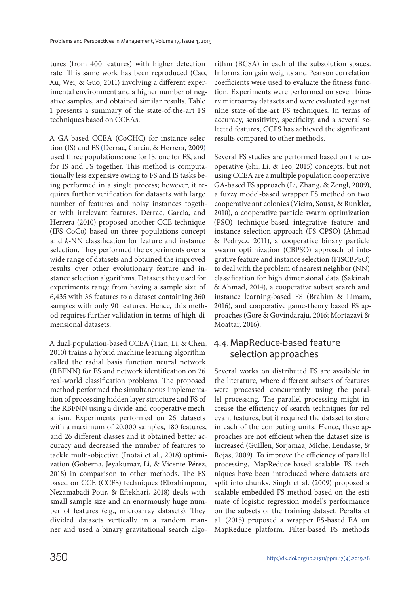tures (from 400 features) with higher detection rate. This same work has been reproduced (Cao, Xu, Wei, & Guo, 2011) involving a different experimental environment and a higher number of negative samples, and obtained similar results. Table 1 presents a summary of the state-of-the-art FS techniques based on CCEAs.

A GA-based CCEA (CoCHC) for instance selection (IS) and FS (Derrac, Garcia, & Herrera, 2009) used three populations: one for IS, one for FS, and for IS and FS together. This method is computationally less expensive owing to FS and IS tasks being performed in a single process; however, it requires further verification for datasets with large number of features and noisy instances together with irrelevant features. Derrac, Garcia, and Herrera (2010) proposed another CCE technique (IFS-CoCo) based on three populations concept and k-NN classification for feature and instance selection. They performed the experiments over a wide range of datasets and obtained the improved results over other evolutionary feature and instance selection algorithms. Datasets they used for experiments range from having a sample size of 6,435 with 36 features to a dataset containing 360 samples with only 90 features. Hence, this method requires further validation in terms of high-dimensional datasets.

A dual-population-based CCEA (Tian, Li, & Chen, 2010) trains a hybrid machine learning algorithm called the radial basis function neural network (RBFNN) for FS and network identification on 26 real-world classification problems. The proposed method performed the simultaneous implementation of processing hidden layer structure and FS of the RBFNN using a divide-and-cooperative mechanism. Experiments performed on 26 datasets with a maximum of 20,000 samples, 180 features, and 26 different classes and it obtained better accuracy and decreased the number of features to tackle multi-objective (Inotai et al., 2018) optimization (Goberna, Jeyakumar, Li, & Vicente-Pérez, 2018) in comparison to other methods. The FS based on CCE (CCFS) techniques (Ebrahimpour, Nezamabadi-Pour, & Eftekhari, 2018) deals with small sample size and an enormously huge number of features (e.g., microarray datasets). They divided datasets vertically in a random manner and used a binary gravitational search algorithm (BGSA) in each of the subsolution spaces. Information gain weights and Pearson correlation coefficients were used to evaluate the fitness function. Experiments were performed on seven binary microarray datasets and were evaluated against nine state-of-the-art FS techniques. In terms of accuracy, sensitivity, specificity, and a several selected features, CCFS has achieved the significant results compared to other methods.

Several FS studies are performed based on the cooperative (Shi, Li, & Teo, 2015) concepts, but not using CCEA are a multiple population cooperative GA-based FS approach (Li, Zhang, & Zengl, 2009), a fuzzy model-based wrapper FS method on two cooperative ant colonies (Vieira, Sousa, & Runkler, 2010), a cooperative particle swarm optimization (PSO) technique-based integrative feature and instance selection approach (FS-CPSO) (Ahmad & Pedrycz, 2011), a cooperative binary particle swarm optimization (CBPSO) approach of integrative feature and instance selection (FISCBPSO) to deal with the problem of nearest neighbor (NN) classification for high dimensional data (Sakinah & Ahmad, 2014), a cooperative subset search and instance learning-based FS (Brahim & Limam, 2016), and cooperative game-theory based FS approaches (Gore & Govindaraju, 2016; Mortazavi & Moattar, 2016).

### 4.4. MapReduce-based feature selection approaches

Several works on distributed FS are available in the literature, where different subsets of features were processed concurrently using the parallel processing. The parallel processing might increase the efficiency of search techniques for relevant features, but it required the dataset to store in each of the computing units. Hence, these approaches are not efficient when the dataset size is increased (Guillen, Sorjamaa, Miche, Lendasse, & Rojas, 2009). To improve the efficiency of parallel processing, MapReduce-based scalable FS techniques have been introduced where datasets are split into chunks. Singh et al. (2009) proposed a scalable embedded FS method based on the estimate of logistic regression model's performance on the subsets of the training dataset. Peralta et al. (2015) proposed a wrapper FS-based EA on MapReduce platform. Filter-based FS methods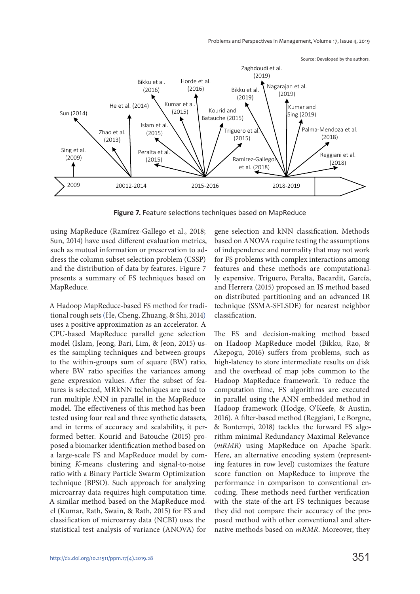Problems and Perspectives in Management, Volume 17, Issue 4, 2019



**Figure 7.** Feature selections techniques based on MapReduce

using MapReduce (Ramírez-Gallego et al., 2018; Sun, 2014) have used different evaluation metrics, such as mutual information or preservation to address the column subset selection problem (CSSP) and the distribution of data by features. Figure 7 presents a summary of FS techniques based on MapReduce.

A Hadoop MapReduce-based FS method for traditional rough sets (He, Cheng, Zhuang, & Shi, 2014) uses a positive approximation as an accelerator. A CPU-based MapReduce parallel gene selection model (Islam, Jeong, Bari, Lim, & Jeon, 2015) uses the sampling techniques and between-groups to the within-groups sum of square (BW) ratio, where BW ratio specifies the variances among gene expression values. After the subset of features is selected, MRkNN techniques are used to run multiple kNN in parallel in the MapReduce model. The effectiveness of this method has been tested using four real and three synthetic datasets, and in terms of accuracy and scalability, it performed better. Kourid and Batouche (2015) proposed a biomarker identification method based on a large-scale FS and MapReduce model by combining K-means clustering and signal-to-noise ratio with a Binary Particle Swarm Optimization technique (BPSO). Such approach for analyzing microarray data requires high computation time. A similar method based on the MapReduce model (Kumar, Rath, Swain, & Rath, 2015) for FS and classification of microarray data (NCBI) uses the statistical test analysis of variance (ANOVA) for

gene selection and kNN classification. Methods based on ANOVA require testing the assumptions of independence and normality that may not work for FS problems with complex interactions among features and these methods are computationally expensive. Triguero, Peralta, Bacardit, García, and Herrera (2015) proposed an IS method based on distributed partitioning and an advanced IR technique (SSMA-SFLSDE) for nearest neighbor classification.

The FS and decision-making method based on Hadoop MapReduce model (Bikku, Rao, & Akepogu, 2016) suffers from problems, such as high-latency to store intermediate results on disk and the overhead of map jobs common to the Hadoop MapReduce framework. To reduce the computation time, FS algorithms are executed in parallel using the ANN embedded method in Hadoop framework (Hodge, O'Keefe, & Austin, 2016). A filter-based method (Reggiani, Le Borgne, & Bontempi, 2018) tackles the forward FS algorithm minimal Redundancy Maximal Relevance (mRMR) using MapReduce on Apache Spark. Here, an alternative encoding system (representing features in row level) customizes the feature score function on MapReduce to improve the performance in comparison to conventional encoding. These methods need further verification with the state-of-the-art FS techniques because they did not compare their accuracy of the proposed method with other conventional and alternative methods based on mRMR. Moreover, they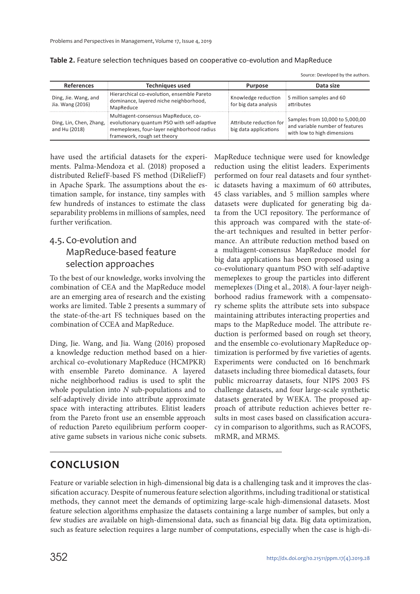|                                          |                                                                                                                                                                                         |                                                  | Source: Developed by the dutilors.                                                                      |
|------------------------------------------|-----------------------------------------------------------------------------------------------------------------------------------------------------------------------------------------|--------------------------------------------------|---------------------------------------------------------------------------------------------------------|
| <b>References</b>                        | <b>Techniques used</b>                                                                                                                                                                  | <b>Purpose</b>                                   | Data size                                                                                               |
| Ding, Jie. Wang, and<br>Jia. Wang (2016) | Hierarchical co-evolution, ensemble Pareto<br>dominance, layered niche neighborhood,<br>MapReduce                                                                                       | Knowledge reduction<br>for big data analysis     | 5 million samples and 60<br>attributes                                                                  |
| and Hu (2018)                            | Multiagent-consensus MapReduce, co-<br>Ding, Lin, Chen, Zhang, evolutionary quantum PSO with self-adaptive<br>memeplexes, four-layer neighborhood radius<br>framework, rough set theory | Attribute reduction for<br>big data applications | $\pm$ Samples from 10,000 to 5,000,00<br>and variable number of features<br>with low to high dimensions |

**Table 2.** Feature selection techniques based on cooperative co-evolution and MapReduce

Source: Developed by the authors.

have used the artificial datasets for the experiments. Palma-Mendoza et al. (2018) proposed a distributed ReliefF-based FS method (DiReliefF) in Apache Spark. The assumptions about the estimation sample, for instance, tiny samples with few hundreds of instances to estimate the class separability problems in millions of samples, need further verification.

### 4.5. Co-evolution and MapReduce-based feature selection approaches

To the best of our knowledge, works involving the combination of CEA and the MapReduce model are an emerging area of research and the existing works are limited. Table 2 presents a summary of the state-of-the-art FS techniques based on the combination of CCEA and MapReduce.

Ding, Jie. Wang, and Jia. Wang (2016) proposed a knowledge reduction method based on a hierarchical co-evolutionary MapReduce (HCMPKR) with ensemble Pareto dominance. A layered niche neighborhood radius is used to split the whole population into N sub-populations and to self-adaptively divide into attribute approximate space with interacting attributes. Elitist leaders from the Pareto front use an ensemble approach of reduction Pareto equilibrium perform cooperative game subsets in various niche conic subsets. MapReduce technique were used for knowledge reduction using the elitist leaders. Experiments performed on four real datasets and four synthetic datasets having a maximum of 60 attributes, 45 class variables, and 5 million samples where datasets were duplicated for generating big data from the UCI repository. The performance of this approach was compared with the state-ofthe-art techniques and resulted in better performance. An attribute reduction method based on a multiagent-consensus MapReduce model for big data applications has been proposed using a co-evolutionary quantum PSO with self-adaptive memeplexes to group the particles into different memeplexes (Ding et al., 2018). A four-layer neighborhood radius framework with a compensatory scheme splits the attribute sets into subspace maintaining attributes interacting properties and maps to the MapReduce model. The attribute reduction is performed based on rough set theory, and the ensemble co-evolutionary MapReduce optimization is performed by five varieties of agents. Experiments were conducted on 16 benchmark datasets including three biomedical datasets, four public microarray datasets, four NIPS 2003 FS challenge datasets, and four large-scale synthetic datasets generated by WEKA. The proposed approach of attribute reduction achieves better results in most cases based on classification accuracy in comparison to algorithms, such as RACOFS, mRMR, and MRMS.

### **CONCLUSION**

Feature or variable selection in high-dimensional big data is a challenging task and it improves the classification accuracy. Despite of numerous feature selection algorithms, including traditional or statistical methods, they cannot meet the demands of optimizing large-scale high-dimensional datasets. Most feature selection algorithms emphasize the datasets containing a large number of samples, but only a few studies are available on high-dimensional data, such as financial big data. Big data optimization, such as feature selection requires a large number of computations, especially when the case is high-di-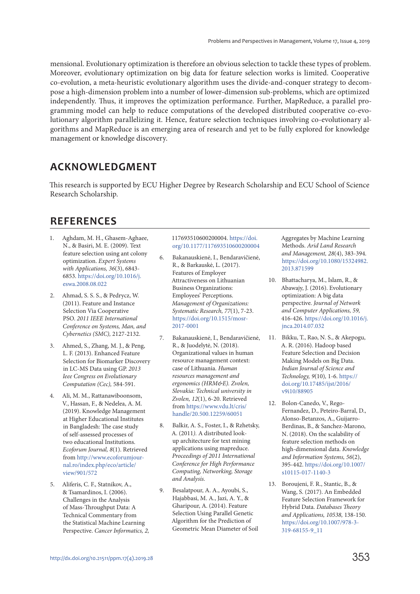mensional. Evolutionary optimization is therefore an obvious selection to tackle these types of problem. Moreover, evolutionary optimization on big data for feature selection works is limited. Cooperative co-evolution, a meta-heuristic evolutionary algorithm uses the divide-and-conquer strategy to decompose a high-dimension problem into a number of lower-dimension sub-problems, which are optimized independently. Thus, it improves the optimization performance. Further, MapReduce, a parallel programming model can help to reduce computations of the developed distributed cooperative co-evolutionary algorithm parallelizing it. Hence, feature selection techniques involving co-evolutionary algorithms and MapReduce is an emerging area of research and yet to be fully explored for knowledge management or knowledge discovery.

### **ACKNOWLEDGMENT**

This research is supported by ECU Higher Degree by Research Scholarship and ECU School of Science Research Scholarship.

# **REFERENCES**

- 1. Aghdam, M. H., Ghasem-Aghaee, N., & Basiri, M. E. (2009). Text feature selection using ant colony optimization. Expert Systems with Applications, 36(3), 6843- 6853. https://doi.org/10.1016/j. eswa.2008.08.022
- 2. Ahmad, S. S. S., & Pedrycz, W. (2011). Feature and Instance Selection Via Cooperative PSO. 2011 IEEE International Conference on Systems, Man, and Cybernetics (SMC), 2127-2132.
- 3. Ahmed, S., Zhang, M. J., & Peng, L. F. (2013). Enhanced Feature Selection for Biomarker Discovery in LC-MS Data using GP. 2013 Ieee Congress on Evolutionary Computation (Cec), 584-591.
- 4. Ali, M. M., Rattanawiboonsom, V., Hassan, F., & Nedelea, A. M. (2019). Knowledge Management at Higher Educational Institutes in Bangladesh: The case study of self-assessed processes of two educational Institutions. Ecoforum Journal, 8(1). Retrieved from http://www.ecoforumjournal.ro/index.php/eco/article/ view/901/572
- 5. Aliferis, C. F., Statnikov, A., & Tsamardinos, I. (2006). Challenges in the Analysis of Mass-Throughput Data: A Technical Commentary from the Statistical Machine Learning Perspective. Cancer Informatics, 2,

117693510600200004. https://doi. org/10.1177/117693510600200004

- 6. Bakanauskienė, I., Bendaravičienė, R., & Barkauskė, L. (2017). Features of Employer Attractiveness on Lithuanian Business Organizations: Employees' Perceptions. Management of Organizations: Systematic Research, 77(1), 7-23. https://doi.org/10.1515/mosr-2017-0001
- 7. Bakanauskienė, I., Bendaravičienė, R., & Juodelytė, N. (2018). Organizational values in human resource management context: case of Lithuania. Human resources management and ergonomics (HRM&E). Zvolen, Slovakia: Technical university in Zvolen, 12(1), 6-20. Retrieved from https://www.vdu.lt/cris/ handle/20.500.12259/60051
- 8. Balkir, A. S., Foster, I., & Rzhetsky, A. (2011). A distributed lookup architecture for text mining applications using mapreduce. Proceedings of 2011 International Conference for High Performance Computing, Networking, Storage and Analysis.
- 9. Besalatpour, A. A., Ayoubi, S., Hajabbasi, M. A., Jazi, A. Y., & Gharipour, A. (2014). Feature Selection Using Parallel Genetic Algorithm for the Prediction of Geometric Mean Diameter of Soil

Aggregates by Machine Learning Methods. Arid Land Research and Management, 28(4), 383-394. https://doi.org/10.1080/15324982. 2013.871599

- 10. Bhattacharya, M., Islam, R., & Abawajy, J. (2016). Evolutionary optimization: A big data perspective. Journal of Network and Computer Applications, 59, 416-426. https://doi.org/10.1016/j. jnca.2014.07.032
- 11. Bikku, T., Rao, N. S., & Akepogu, A. R. (2016). Hadoop based Feature Selection and Decision Making Models on Big Data. Indian Journal of Science and Technology, 9(10), 1-6. https:// doi.org/10.17485/ijst/2016/ v9i10/88905
- 12. Bolon-Canedo, V., Rego-Fernandez, D., Peteiro-Barral, D., Alonso-Betanzos, A., Guijarro-Berdinas, B., & Sanchez-Marono, N. (2018). On the scalability of feature selection methods on high-dimensional data. Knowledge and Information Systems, 56(2), 395-442. https://doi.org/10.1007/ s10115-017-1140-3
- 13. Boroujeni, F. R., Stantic, B., & Wang, S. (2017). An Embedded Feature Selection Framework for Hybrid Data. Databases Theory and Applications, 10538, 138-150. https://doi.org/10.1007/978-3- 319-68155-9\_11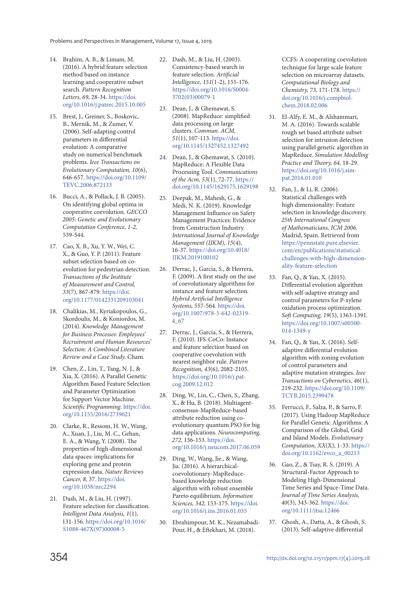- 14. Brahim, A. B., & Limam, M. (2016). A hybrid feature selection method based on instance learning and cooperative subset search. Pattern Recognition Letters, 69, 28-34. https://doi. org/10.1016/j.patrec.2015.10.005
- 15. Brest, J., Greiner, S., Boskovic, B., Mernik, M., & Zumer, V. (2006). Self-adapting control parameters in differential evolution: A comparative study on numerical benchmark problems. Ieee Transactions on Evolutionary Computation, 10(6), 646-657. https://doi.org/10.1109/ TEVC.2006.872133
- 16. Bucci, A., & Pollack, J. B. (2005). On identifying global optima in cooperative coevolution. GECCO 2005: Genetic and Evolutionary Computation Conference, 1-2, 539-544.
- 17. Cao, X. B., Xu, Y. W., Wei, C. X., & Guo, Y. P. (2011). Feature subset selection based on coevolution for pedestrian detection. Transactions of the Institute of Measurement and Control, 33(7), 867-879. https://doi. org/10.1177/0142331209103041
- 18. Chalikias, M., Kyriakopoulos, G., Skordoulis, M., & Koniordos, M. (2014). Knowledge Management for Business Processes: Employees' Recruitment and Human Resources' Selection: A Combined Literature Review and a Case Study. Cham.
- 19. Chen, Z., Lin, T., Tang, N. J., & Xia, X. (2016). A Parallel Genetic Algorithm Based Feature Selection and Parameter Optimization for Support Vector Machine. Scientific Programming. https://doi. org/10.1155/2016/2739621
- 20. Clarke, R., Ressom, H. W., Wang, A., Xuan, J., Liu, M. C., Gehan, E. A., & Wang, Y. (2008). The properties of high-dimensional data spaces: implications for exploring gene and protein expression data. Nature Reviews Cancer, 8, 37. https://doi. org/10.1038/nrc2294
- 21. Dash, M., & Liu, H. (1997). Feature selection for classification. Intelligent Data Analysis, 1(1), 131-156. https://doi.org/10.1016/ S1088-467X(97)00008-5
- 22. Dash, M., & Liu, H. (2003). Consistency-based search in feature selection. Artificial Intelligence, 151(1-2), 155-176. https://doi.org/10.1016/S0004- 3702(03)00079-1
- 23. Dean, J., & Ghemawat, S. (2008). MapReduce: simplified data processing on large clusters. Commun. ACM, 51(1), 107-113. https://doi. org/10.1145/1327452.1327492
- 24. Dean, J., & Ghemawat, S. (2010). MapReduce: A Flexible Data Processing Tool. Communications of the Acm, 53(1), 72-77. https:// doi.org/10.1145/1629175.1629198
- 25. Deepak, M., Mahesh, G., & Medi, N. K. (2019). Knowledge Management Influence on Safety Management Practices: Evidence from Construction Industry. International Journal of Knowledge Management (IJKM), 15(4), 16-37. https://doi.org/10.4018/ IJKM.2019100102
- 26. Derrac, J., Garcia, S., & Herrera, F. (2009). A first study on the use of coevolutionary algorithms for instance and feature selection. Hybrid Artificial Intelligence Systems, 557-564. https://doi. org/10.1007/978-3-642-02319- 4\_67
- 27. Derrac, J., Garcia, S., & Herrera, F. (2010). IFS-CoCo: Instance and feature selection based on cooperative coevolution with nearest neighbor rule. Pattern Recognition, 43(6), 2082-2105. https://doi.org/10.1016/j.patcog.2009.12.012
- 28. Ding, W., Lin, C., Chen, S., Zhang, X., & Hu, B. (2018). Multiagentconsensus-MapReduce-based attribute reduction using coevolutionary quantum PSO for big data applications. Neurocomputing, 272, 136-153. https://doi. org/10.1016/j.neucom.2017.06.059
- 29. Ding, W., Wang, Jie., & Wang, Jia. (2016). A hierarchicalcoevolutionary-MapReducebased knowledge reduction algorithm with robust ensemble Pareto equilibrium. Information Sciences, 342, 153-175. https://doi. org/10.1016/j.ins.2016.01.035
- 30. Ebrahimpour, M. K., Nezamabadi-Pour, H., & Eftekhari, M. (2018).

CCFS: A cooperating coevolution technique for large scale feature selection on microarray datasets. Computational Biology and Chemistry, 73, 171-178. https:// doi.org/10.1016/j.compbiolchem.2018.02.006

- 31. El-Alfy, E. M., & Alshammari, M. A. (2016). Towards scalable rough set based attribute subset selection for intrusion detection using parallel genetic algorithm in MapReduce. Simulation Modelling Practice and Theory, 64, 18-29. https://doi.org/10.1016/j.simpat.2016.01.010
- 32. Fan, J., & Li, R. (2006). Statistical challenges with high dimensionality: Feature selection in knowledge discovery. 25th International Congress of Mathematicians, ICM 2006. Madrid, Spain. Retrieved from https://pennstate.pure.elsevier. com/en/publications/statisticalchallenges-with-high-dimensionality-feature-selection
- 33. Fan, Q., & Yan, X. (2015). Differential evolution algorithm with self-adaptive strategy and control parameters for P-xylene oxidation process optimization. Soft Computing, 19(5), 1363-1391. https://doi.org/10.1007/s00500- 014-1349-y
- 34. Fan, Q., & Yan, X. (2016). Selfadaptive differential evolution algorithm with zoning evolution of control parameters and adaptive mutation strategies. Ieee Transactions on Cybernetics, 46(1), 219-232. https://doi.org/10.1109/ TCYB.2015.2399478
- 35. Ferrucci, F., Salza, P., & Sarro, F. (2017). Using Hadoop MapReduce for Parallel Genetic Algorithms: A Comparison of the Global, Grid and Island Models. Evolutionary Computation, XX(X), 1-33. https:// doi.org/10.1162/evco\_a\_00213
- 36. Gao, Z., & Tsay, R. S. (2019). A Structural‐Factor Approach to Modeling High‐Dimensional Time Series and Space‐Time Data. Journal of Time Series Analysis, 40(3), 343-362. https://doi. org/10.1111/jtsa.12466
- 37. Ghosh, A., Datta, A., & Ghosh, S. (2013). Self-adaptive differential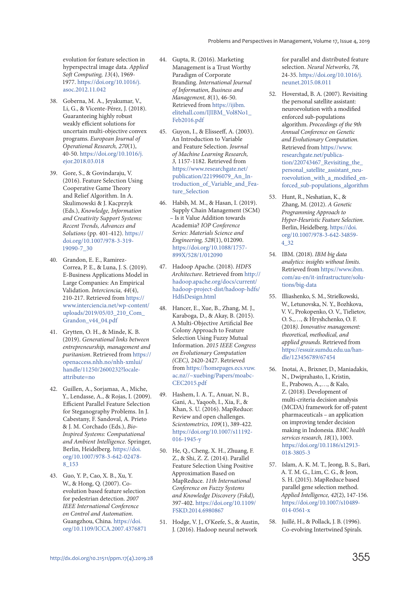evolution for feature selection in hyperspectral image data. Applied Soft Computing, 13(4), 1969- 1977. https://doi.org/10.1016/j. asoc.2012.11.042

- 38. Goberna, M. A., Jeyakumar, V., Li, G., & Vicente-Pérez, J. (2018). Guaranteeing highly robust weakly efficient solutions for uncertain multi-objective convex programs. European Journal of Operational Research, 270(1), 40-50. https://doi.org/10.1016/j. ejor.2018.03.018
- 39. Gore, S., & Govindaraju, V. (2016). Feature Selection Using Cooperative Game Theory and Relief Algorithm. In A. Skulimowski & J. Kacprzyk (Eds.), Knowledge, Information and Creativity Support Systems: Recent Trends, Advances and Solutions (pp. 401-412). https:// doi.org/10.1007/978-3-319- 19090-7\_30
- 40. Grandon, E. E., Ramirez-Correa, P. E., & Luna, J. S. (2019). E-Business Applications Model in Large Companies: An Empirical Validation. Interciencia, 44(4), 210-217. Retrieved from https:// www.interciencia.net/wp-content/ uploads/2019/05/03\_210\_Com\_ Grandon\_v44\_04.pdf
- 41. Grytten, O. H., & Minde, K. B. (2019). Generational links between entrepreneurship, management and puritanism. Retrieved from https:// openaccess.nhh.no/nhh-xmlui/ handle/11250/2600232?localeattribute=no
- 42. Guillen, A., Sorjamaa, A., Miche, Y., Lendasse, A., & Rojas, I. (2009). Efficient Parallel Feature Selection for Steganography Problems. In J. Cabestany, F. Sandoval, A. Prieto & J. M. Corchado (Eds.), Bio-Inspired Systems: Computational and Ambient Intelligence. Springer, Berlin, Heidelberg. https://doi. org/10.1007/978-3-642-02478- 8\_153
- 43. Guo, Y. P., Cao, X. B., Xu, Y. W., & Hong, Q. (2007). Coevolution based feature selection for pedestrian detection. 2007 IEEE International Conference on Control and Automation. Guangzhou, China. https://doi. org/10.1109/ICCA.2007.4376871
- 44. Gupta, R. (2016). Marketing Management is a Trust Worthy Paradigm of Corporate Branding. International Journal of Information, Business and Management, 8(1), 46-50. Retrieved from https://ijibm. elitehall.com/IJIBM\_Vol8No1\_ Feb2016.pdf
- 45. Guyon, I., & Elisseeff, A. (2003). An Introduction to Variable and Feature Selection. Journal of Machine Learning Research, 3, 1157-1182. Retrieved from https://www.researchgate.net/ publication/221996079\_An\_Introduction\_of\_Variable\_and\_Feature\_Selection
- 46. Habib, M. M., & Hasan, I. (2019). Supply Chain Management (SCM) – Is it Value Addition towards Academia? IOP Conference Series: Materials Science and Engineering, 528(1), 012090. https://doi.org/10.1088/1757- 899X/528/1/012090
- 47. Hadoop Apache. (2018). HDFS Architecture. Retrieved from http:// hadoop.apache.org/docs/current/ hadoop-project-dist/hadoop-hdfs/ HdfsDesign.html
- 48. Hancer, E., Xue, B., Zhang, M. J., Karaboga, D., & Akay, B. (2015). A Multi-Objective Artificial Bee Colony Approach to Feature Selection Using Fuzzy Mutual Information. 2015 IEEE Congress on Evolutionary Computation (CEC), 2420-2427. Retrieved from https://homepages.ecs.vuw. ac.nz//~xuebing/Papers/moabc-CEC2015.pdf
- 49. Hashem, I. A. T., Anuar, N. B., Gani, A., Yaqoob, I., Xia, F., & Khan, S. U. (2016). MapReduce: Review and open challenges. Scientometrics, 109(1), 389-422. https://doi.org/10.1007/s11192- 016-1945-y
- 50. He, Q., Cheng, X. H., Zhuang, F. Z., & Shi, Z. Z. (2014). Parallel Feature Selection Using Positive Approximation Based on MapReduce. 11th International Conference on Fuzzy Systems and Knowledge Discovery (Fskd), 397-402. https://doi.org/10.1109/ FSKD.2014.6980867
- 51. Hodge, V. J., O'Keefe, S., & Austin, J. (2016). Hadoop neural network

for parallel and distributed feature selection. Neural Networks, 78, 24-35. https://doi.org/10.1016/j. neunet.2015.08.011

- 52. Hoverstad, B. A. (2007). Revisiting the personal satellite assistant: neuroevolution with a modified enforced sub-populations algorithm. Proceedings of the 9th Annual Conference on Genetic and Evolutionary Computation. Retrieved from https://www. researchgate.net/publication/220743467\_Revisiting\_the personal\_satellite\_assistant\_neuroevolution\_with\_a\_modified\_enforced\_sub-populations\_algorithm
- 53. Hunt, R., Neshatian, K., & Zhang, M. (2012). A Genetic Programming Approach to Hyper-Heuristic Feature Selection. Berlin, Heidelberg. https://doi. org/10.1007/978-3-642-34859- 4\_32
- 54. IBM. (2018). IBM big data analytics: insights without limits. Retrieved from https://www.ibm. com/au-en/it-infrastructure/solutions/big-data
- 55. Illiashenko, S. M., Strielkowski, W., Letunovska, N. Y., Bozhkova, V. V., Prokopenko, O. V., Tielietov, O. S.,…, & Hryshchenko, O. F. (2018). Innovative management: theoretical, methodical, and applied grounds. Retrieved from https://essuir.sumdu.edu.ua/handle/123456789/67454
- 56. Inotai, A., Brixner, D., Maniadakis, N., Dwiprahasto, I., Kristin, E., Prabowo, A.,…, & Kalo, Z. (2018). Development of multi-criteria decision analysis (MCDA) framework for off-patent pharmaceuticals – an application on improving tender decision making in Indonesia. BMC health services research, 18(1), 1003. https://doi.org/10.1186/s12913- 018-3805-3
- 57. Islam, A. K. M. T., Jeong, B. S., Bari, A. T. M. G., Lim, C. G., & Jeon, S. H. (2015). MapReduce based parallel gene selection method. Applied Intelligence, 42(2), 147-156. https://doi.org/10.1007/s10489-  $014 - 0561 - x$
- 58. Juillé, H., & Pollack, J. B. (1996). Co-evolving Intertwined Spirals.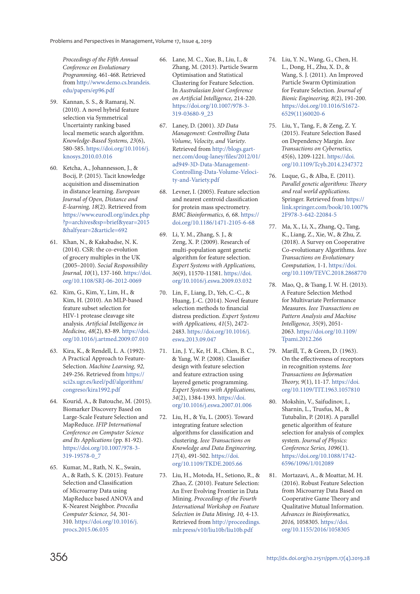Proceedings of the Fifth Annual Conference on Evolutionary Programming, 461-468. Retrieved from http://www.demo.cs.brandeis. edu/papers/ep96.pdf

- 59. Kannan, S. S., & Ramaraj, N. (2010). A novel hybrid feature selection via Symmetrical Uncertainty ranking based local memetic search algorithm. Knowledge-Based Systems, 23(6), 580-585. https://doi.org/10.1016/j. knosys.2010.03.016
- 60. Ketcha, A., Johannesson, J., & Bocij, P. (2015). Tacit knowledge acquisition and dissemination in distance learning. European Journal of Open, Distance and E-learning, 18(2). Retrieved from https://www.eurodl.org/index.php ?p=archives&sp=brief&year=2015 &halfyear=2&article=692
- 61. Khan, N., & Kakabadse, N. K. (2014). CSR: the co-evolution of grocery multiples in the UK (2005–2010). Social Responsibility Journal, 10(1), 137-160. https://doi. org/10.1108/SRJ-06-2012-0069
- 62. Kim, G., Kim, Y., Lim, H., & Kim, H. (2010). An MLP-based feature subset selection for HIV-1 protease cleavage site analysis. Artificial Intelligence in Medicine, 48(2), 83-89. https://doi. org/10.1016/j.artmed.2009.07.010
- 63. Kira, K., & Rendell, L. A. (1992). A Practical Approach to Feature-Selection. Machine Learning, 92, 249-256. Retrieved from https:// sci2s.ugr.es/keel/pdf/algorithm/ congreso/kira1992.pdf
- 64. Kourid, A., & Batouche, M. (2015). Biomarker Discovery Based on Large-Scale Feature Selection and MapReduce. IFIP International Conference on Computer Science and Its Applications (pp. 81-92). https://doi.org/10.1007/978-3- 319-19578-0\_7
- 65. Kumar, M., Rath, N. K., Swain, A., & Rath, S. K. (2015). Feature Selection and Classification of Microarray Data using MapReduce based ANOVA and K-Nearest Neighbor. Procedia Computer Science, 54, 301- 310. https://doi.org/10.1016/j. procs.2015.06.035
- 66. Lane, M. C., Xue, B., Liu, I., & Zhang, M. (2013). Particle Swarm Optimisation and Statistical Clustering for Feature Selection. In Australasian Joint Conference on Artificial Intelligence, 214-220. https://doi.org/10.1007/978-3- 319-03680-9\_23
- 67. Laney, D. (2001). 3D Data Management: Controlling Data Volume, Velocity, and Variety. Retrieved from http://blogs.gartner.com/doug-laney/files/2012/01/ ad949-3D-Data-Management-Controlling-Data-Volume-Velocity-and-Variety.pdf
- 68. Levner, I. (2005). Feature selection and nearest centroid classification for protein mass spectrometry. BMC Bioinformatics, 6, 68. https:// doi.org/10.1186/1471-2105-6-68
- 69. Li, Y. M., Zhang, S. J., & Zeng, X. P. (2009). Research of multi-population agent genetic algorithm for feature selection. Expert Systems with Applications, 36(9), 11570-11581. https://doi. org/10.1016/j.eswa.2009.03.032
- 70. Lin, F., Liang, D., Yeh, C.-C., & Huang, J.-C. (2014). Novel feature selection methods to financial distress prediction. Expert Systems with Applications, 41(5), 2472- 2483. https://doi.org/10.1016/j. eswa.2013.09.047
- 71. Lin, J. Y., Ke, H. R., Chien, B. C., & Yang, W. P. (2008). Classifier design with feature selection and feature extraction using layered genetic programming. Expert Systems with Applications, 34(2), 1384-1393. https://doi. org/10.1016/j.eswa.2007.01.006
- 72. Liu, H., & Yu, L. (2005). Toward integrating feature selection algorithms for classification and clustering. Ieee Transactions on Knowledge and Data Engineering, 17(4), 491-502. https://doi. org/10.1109/TKDE.2005.66
- 73. Liu, H., Motoda, H., Setiono, R., & Zhao, Z. (2010). Feature Selection: An Ever Evolving Frontier in Data Mining. Proceedings of the Fourth International Workshop on Feature Selection in Data Mining, 10, 4-13. Retrieved from http://proceedings. mlr.press/v10/liu10b/liu10b.pdf
- 74. Liu, Y. N., Wang, G., Chen, H. L., Dong, H., Zhu, X. D., & Wang, S. J. (2011). An Improved Particle Swarm Optimization for Feature Selection. Journal of Bionic Engineering, 8(2), 191-200. https://doi.org/10.1016/S1672- 6529(11)60020-6
- 75. Liu, Y., Tang, F., & Zeng, Z. Y. (2015). Feature Selection Based on Dependency Margin. Ieee Transactions on Cybernetics, 45(6), 1209-1221. https://doi. org/10.1109/Tcyb.2014.2347372
- 76. Luque, G., & Alba, E. (2011). Parallel genetic algorithms: Theory and real world applications. Springer. Retrieved from https:// link.springer.com/book/10.1007% 2F978-3-642-22084-5
- 77. Ma, X., Li, X., Zhang, Q., Tang, K., Liang, Z., Xie, W., & Zhu, Z. (2018). A Survey on Cooperative Co-evolutionary Algorithms. Ieee Transactions on Evolutionary Computation, 1-1. https://doi. org/10.1109/TEVC.2018.2868770
- 78. Mao, Q., & Tsang, I. W. H. (2013). A Feature Selection Method for Multivariate Performance Measures. Ieee Transactions on Pattern Analysis and Machine Intelligence, 35(9), 2051- 2063. https://doi.org/10.1109/ Tpami.2012.266
- 79. Marill, T., & Green, D. (1963). On the effectiveness of receptors in recognition systems. Ieee Transactions on Information Theory, 9(1), 11-17. https://doi. org/10.1109/TIT.1963.1057810
- 80. Mokshin, V., Saifudinov, I., Sharnin, L., Trusfus, M., & Tutubalin, P. (2018). A parallel genetic algorithm of feature selection for analysis of complex system. Journal of Physics: Conference Series, 1096(1). https://doi.org/10.1088/1742- 6596/1096/1/012089
- 81. Mortazavi, A., & Moattar, M. H. (2016). Robust Feature Selection from Microarray Data Based on Cooperative Game Theory and Qualitative Mutual Information. Advances in Bioinformatics, 2016, 1058305. https://doi. org/10.1155/2016/1058305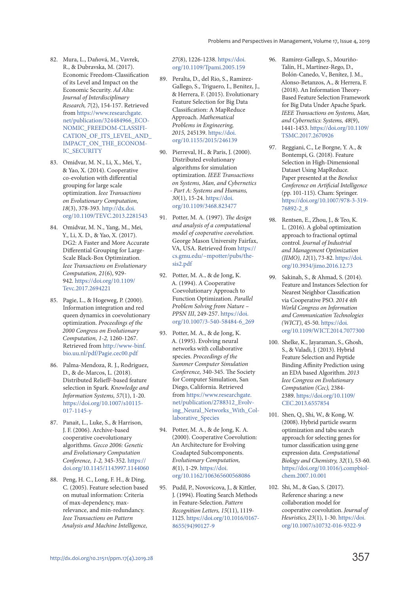- 82. Mura, L., Daňová, M., Vavrek, R., & Dubravska, M. (2017). Economic Freedom-Classification of its Level and Impact on the Economic Security. Ad Alta: Journal of Interdisciplinary Research, 7(2), 154-157. Retrieved from https://www.researchgate. net/publication/324484966\_ECO-NOMIC\_FREEDOM-CLASSIFI-CATION\_OF\_ITS\_LEVEL\_AND\_ IMPACT\_ON\_THE\_ECONOM-IC\_SECURITY
- 83. Omidvar, M. N., Li, X., Mei, Y., & Yao, X. (2014). Cooperative co-evolution with differential grouping for large scale optimization. Ieee Transactions on Evolutionary Computation, 18(3), 378-393. http://dx.doi. org/10.1109/TEVC.2013.2281543
- 84. Omidvar, M. N., Yang, M., Mei, Y., Li, X. D., & Yao, X. (2017). DG2: A Faster and More Accurate Differential Grouping for Large-Scale Black-Box Optimization. Ieee Transactions on Evolutionary Computation, 21(6), 929- 942. https://doi.org/10.1109/ Tevc.2017.2694221
- 85. Pagie, L., & Hogeweg, P. (2000). Information integration and red queen dynamics in coevolutionary optimization. Proceedings of the 2000 Congress on Evolutionary Computation, 1-2, 1260-1267. Retrieved from http://www-binf. bio.uu.nl/pdf/Pagie.cec00.pdf
- 86. Palma-Mendoza, R. J., Rodriguez, D., & de-Marcos, L. (2018). Distributed ReliefF-based feature selection in Spark. Knowledge and Information Systems, 57(1), 1-20. https://doi.org/10.1007/s10115- 017-1145-y
- 87. Panait, L., Luke, S., & Harrison, J. F. (2006). Archive-based cooperative coevolutionary algorithms. Gecco 2006: Genetic and Evolutionary Computation Conference, 1-2, 345-352. https:// doi.org/10.1145/1143997.1144060
- 88. Peng, H. C., Long, F. H., & Ding, C. (2005). Feature selection based on mutual information: Criteria of max-dependency, maxrelevance, and min-redundancy. Ieee Transactions on Pattern Analysis and Machine Intelligence,

27(8), 1226-1238. https://doi. org/10.1109/Tpami.2005.159

- 89. Peralta, D., del Rio, S., Ramirez-Gallego, S., Triguero, I., Benitez, J., & Herrera, F. (2015). Evolutionary Feature Selection for Big Data Classification: A MapReduce Approach. Mathematical Problems in Engineering, 2015, 245139. https://doi. org/10.1155/2015/246139
- 90. Pierreval, H., & Paris, J. (2000). Distributed evolutionary algorithms for simulation optimization. IEEE Transactions on Systems, Man, and Cybernetics - Part A: Systems and Humans, 30(1), 15-24. https://doi. org/10.1109/3468.823477
- 91. Potter, M. A. (1997). The design and analysis of a computational model of cooperative coevolution. George Mason University Fairfax, VA, USA. Retrieved from https:// cs.gmu.edu/~mpotter/pubs/thesis2.pdf
- 92. Potter, M. A., & de Jong, K. A. (1994). A Cooperative Coevolutionary Approach to Function Optimization. Parallel Problem Solving from Nature – PPSN III, 249-257. https://doi. org/10.1007/3-540-58484-6\_269
- 93. Potter, M. A., & de Jong, K. A. (1995). Evolving neural networks with collaborative species. Proceedings of the Summer Computer Simulation Conference, 340-345. The Society for Computer Simulation, San Diego, California. Retrieved from https://www.researchgate. net/publication/2788312\_Evolving Neural Networks With Collaborative Species
- 94. Potter, M. A., & de Jong, K. A. (2000). Cooperative Coevolution: An Architecture for Evolving Coadapted Subcomponents. Evolutionary Computation, 8(1), 1-29. https://doi. org/10.1162/106365600568086
- 95. Pudil, P., Novovicova, J., & Kittler, J. (1994). Floating Search Methods in Feature-Selection. Pattern Recognition Letters, 15(11), 1119- 1125. https://doi.org/10.1016/0167- 8655(94)90127-9
- 96. Ramírez-Gallego, S., Mouriño-Talín, H., Martínez-Rego, D., Bolón-Canedo, V., Benítez, J. M., Alonso-Betanzos, A., & Herrera, F. (2018). An Information Theory-Based Feature Selection Framework for Big Data Under Apache Spark. IEEE Transactions on Systems, Man, and Cybernetics: Systems, 48(9), 1441-1453. https://doi.org/10.1109/ TSMC.2017.2670926
- 97. Reggiani, C., Le Borgne, Y. A., & Bontempi, G. (2018). Feature Selection in High-Dimensional Dataset Using MapReduce. Paper presented at the Benelux Conference on Artificial Intelligence (pp. 101-115). Cham: Springer. https://doi.org/10.1007/978-3-319- 76892-2\_8
- 98. Rentsen, E., Zhou, J., & Teo, K. L. (2016). A global optimization approach to fractional optimal control. Journal of Industrial and Management Optimization (JIMO), 12(1), 73-82. https://doi. org/10.3934/jimo.2016.12.73
- 99. Sakinah, S., & Ahmad, S. (2014). Feature and Instances Selection for Nearest Neighbor Classification via Cooperative PSO. 2014 4th World Congress on Information and Communication Technologies (WICT), 45-50. https://doi. org/10.1109/WICT.2014.7077300
- 100. Shelke, K., Jayaraman, S., Ghosh, S., & Valadi, J. (2013). Hybrid Feature Selection and Peptide Binding Affinity Prediction using an EDA based Algorithm. 2013 Ieee Congress on Evolutionary Computation (Cec), 2384- 2389. https://doi.org/10.1109/ CEC.2013.6557854
- 101. Shen, Q., Shi, W., & Kong, W. (2008). Hybrid particle swarm optimization and tabu search approach for selecting genes for tumor classification using gene expression data. Computational Biology and Chemistry, 32(1), 53-60. https://doi.org/10.1016/j.compbiolchem.2007.10.001
- 102. Shi, M., & Gao, S. (2017). Reference sharing: a new collaboration model for cooperative coevolution. Journal of Heuristics, 23(1), 1-30. https://doi. org/10.1007/s10732-016-9322-9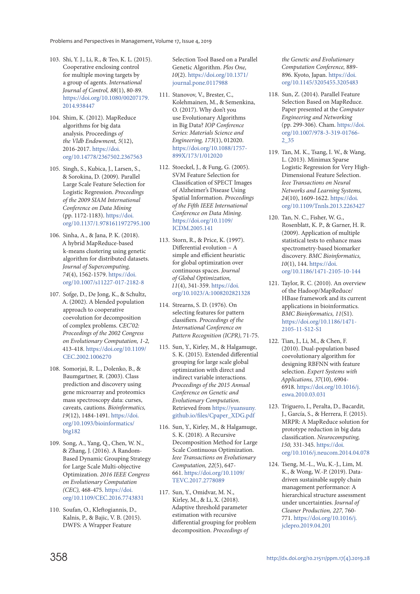- 103. Shi, Y. J., Li, R., & Teo, K. L. (2015). Cooperative enclosing control for multiple moving targets by a group of agents. International Journal of Control, 88(1), 80-89. https://doi.org/10.1080/00207179. 2014.938447
- 104. Shim, K. (2012). MapReduce algorithms for big data analysis. Proceedings of the Vldb Endowment, 5(12), 2016-2017. https://doi. org/10.14778/2367502.2367563
- 105. Singh, S., Kubica, J., Larsen, S., & Sorokina, D. (2009). Parallel Large Scale Feature Selection for Logistic Regression. Proceedings of the 2009 SIAM International Conference on Data Mining (pp. 1172-1183). https://doi. org/10.1137/1.9781611972795.100
- 106. Sinha, A., & Jana, P. K. (2018). A hybrid MapReduce-based k-means clustering using genetic algorithm for distributed datasets. Journal of Supercomputing, 74(4), 1562-1579. https://doi. org/10.1007/s11227-017-2182-8
- 107. Sofge, D., De Jong, K., & Schultz, A. (2002). A blended population approach to cooperative coevolution for decomposition of complex problems. CEC'02: Proceedings of the 2002 Congress on Evolutionary Computation, 1-2, 413-418. https://doi.org/10.1109/ CEC.2002.1006270
- 108. Somorjai, R. L., Dolenko, B., & Baumgartner, R. (2003). Class prediction and discovery using gene microarray and proteomics mass spectroscopy data: curses, caveats, cautions. Bioinformatics, 19(12), 1484-1491. https://doi. org/10.1093/bioinformatics/ btg182
- 109. Song, A., Yang, Q., Chen, W. N., & Zhang, J. (2016). A Random-Based Dynamic Grouping Strategy for Large Scale Multi-objective Optimization. 2016 IEEE Congress on Evolutionary Computation (CEC), 468-475. https://doi. org/10.1109/CEC.2016.7743831
- 110. Soufan, O., Kleftogiannis, D., Kalnis, P., & Bajic, V. B. (2015). DWFS: A Wrapper Feature

Selection Tool Based on a Parallel Genetic Algorithm. Plos One, 10(2). https://doi.org/10.1371/ journal.pone.0117988

- 111. Stanovov, V., Brester, C., Kolehmainen, M., & Semenkina, O. (2017). Why don't you use Evolutionary Algorithms in Big Data? IOP Conference Series: Materials Science and Engineering, 173(1), 012020. https://doi.org/10.1088/1757- 899X/173/1/012020
- 112. Stoeckel, J., & Fung, G. (2005). SVM Feature Selection for Classification of SPECT Images of Alzheimer's Disease Using Spatial Information. Proceedings of the Fifth IEEE International Conference on Data Mining. https://doi.org/10.1109/ ICDM.2005.141
- 113. Storn, R., & Price, K. (1997). Differential evolution – A simple and efficient heuristic for global optimization over continuous spaces. Journal of Global Optimization, 11(4), 341-359. https://doi. org/10.1023/A:1008202821328
- 114. Strearns, S. D. (1976). On selecting features for pattern classifiers. Proceedings of the International Conference on Pattern Recognition (ICPR), 71-75.
- 115. Sun, Y., Kirley, M., & Halgamuge, S. K. (2015). Extended differential grouping for large scale global optimization with direct and indirect variable interactions. Proceedings of the 2015 Annual Conference on Genetic and Evolutionary Computation. Retrieved from https://yuansuny. github.io/files/Cpaper\_XDG.pdf
- 116. Sun, Y., Kirley, M., & Halgamuge, S. K. (2018). A Recursive Decomposition Method for Large Scale Continuous Optimization. Ieee Transactions on Evolutionary Computation, 22(5), 647- 661. https://doi.org/10.1109/ TEVC.2017.2778089
- 117. Sun, Y., Omidvar, M. N., Kirley, M., & Li, X. (2018). Adaptive threshold parameter estimation with recursive differential grouping for problem decomposition. Proceedings of

the Genetic and Evolutionary Computation Conference, 889- 896. Kyoto, Japan. https://doi. org/10.1145/3205455.3205483

- 118. Sun, Z. (2014). Parallel Feature Selection Based on MapReduce. Paper presented at the Computer Engineering and Networking (pp. 299-306). Cham. https://doi. org/10.1007/978-3-319-01766- 2\_35
- 119. Tan, M. K., Tsang, I. W., & Wang, L. (2013). Minimax Sparse Logistic Regression for Very High-Dimensional Feature Selection. Ieee Transactions on Neural Networks and Learning Systems, 24(10), 1609-1622. https://doi. org/10.1109/Tnnls.2013.2263427
- 120. Tan, N. C., Fisher, W. G., Rosenblatt, K. P., & Garner, H. R. (2009). Application of multiple statistical tests to enhance mass spectrometry-based biomarker discovery. BMC Bioinformatics, 10(1), 144. https://doi. org/10.1186/1471-2105-10-144
- 121. Taylor, R. C. (2010). An overview of the Hadoop/MapReduce/ HBase framework and its current applications in bioinformatics. BMC Bioinformatics, 11(S1). https://doi.org/10.1186/1471- 2105-11-S12-S1
- 122. Tian, J., Li, M., & Chen, F. (2010). Dual-population based coevolutionary algorithm for designing RBFNN with feature selection. Expert Systems with Applications, 37(10), 6904- 6918. https://doi.org/10.1016/j. eswa.2010.03.031
- 123. Triguero, I., Peralta, D., Bacardit, J., García, S., & Herrera, F. (2015). MRPR: A MapReduce solution for prototype reduction in big data classification. Neurocomputing, 150, 331-345. https://doi. org/10.1016/j.neucom.2014.04.078
- 124. Tseng, M.-L., Wu, K.-J., Lim, M. K., & Wong, W.-P. (2019). Datadriven sustainable supply chain management performance: A hierarchical structure assessment under uncertainties. Journal of Cleaner Production, 227, 760- 771. https://doi.org/10.1016/j. jclepro.2019.04.201